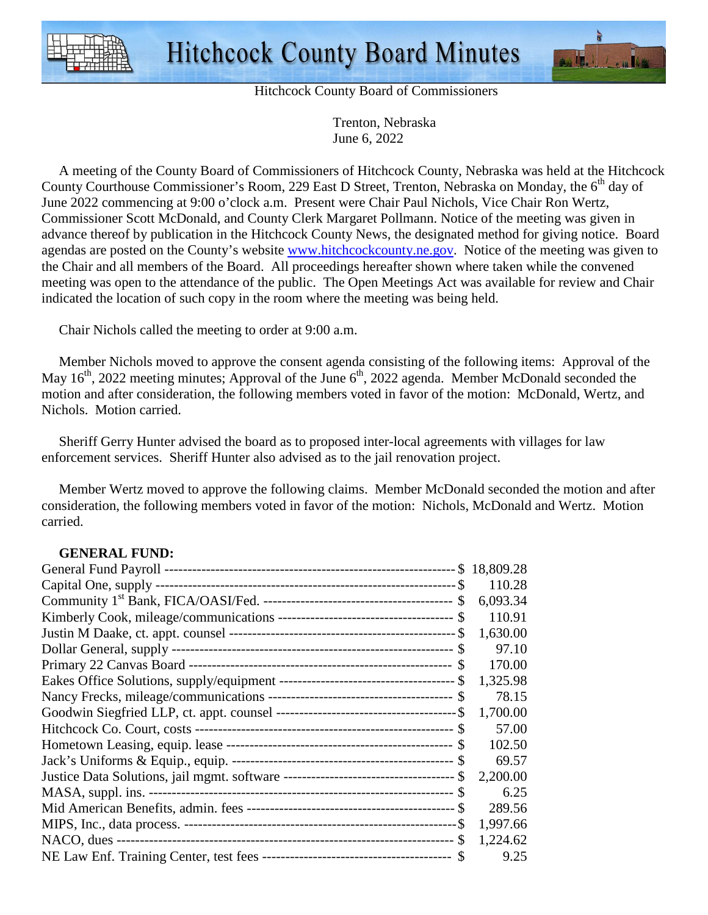



Hitchcock County Board of Commissioners

 Trenton, Nebraska June 6, 2022

 A meeting of the County Board of Commissioners of Hitchcock County, Nebraska was held at the Hitchcock County Courthouse Commissioner's Room, 229 East D Street, Trenton, Nebraska on Monday, the 6<sup>th</sup> day of June 2022 commencing at 9:00 o'clock a.m. Present were Chair Paul Nichols, Vice Chair Ron Wertz, Commissioner Scott McDonald, and County Clerk Margaret Pollmann. Notice of the meeting was given in advance thereof by publication in the Hitchcock County News, the designated method for giving notice. Board agendas are posted on the County's website www.hitchcockcounty.ne.gov. Notice of the meeting was given to the Chair and all members of the Board. All proceedings hereafter shown where taken while the convened meeting was open to the attendance of the public. The Open Meetings Act was available for review and Chair indicated the location of such copy in the room where the meeting was being held.

Chair Nichols called the meeting to order at 9:00 a.m.

 Member Nichols moved to approve the consent agenda consisting of the following items: Approval of the May  $16<sup>th</sup>$ , 2022 meeting minutes; Approval of the June  $6<sup>th</sup>$ , 2022 agenda. Member McDonald seconded the motion and after consideration, the following members voted in favor of the motion: McDonald, Wertz, and Nichols. Motion carried.

 Sheriff Gerry Hunter advised the board as to proposed inter-local agreements with villages for law enforcement services. Sheriff Hunter also advised as to the jail renovation project.

 Member Wertz moved to approve the following claims. Member McDonald seconded the motion and after consideration, the following members voted in favor of the motion: Nichols, McDonald and Wertz. Motion carried.

## **GENERAL FUND:**

|          | 110.28   |
|----------|----------|
|          | 6,093.34 |
|          | 110.91   |
|          | 1,630.00 |
|          | 97.10    |
|          | 170.00   |
|          | 1,325.98 |
|          | 78.15    |
|          | 1,700.00 |
|          | 57.00    |
|          | 102.50   |
|          | 69.57    |
| <b>S</b> | 2,200.00 |
|          | 6.25     |
|          | 289.56   |
|          | 1,997.66 |
|          | 1,224.62 |
|          | 9.25     |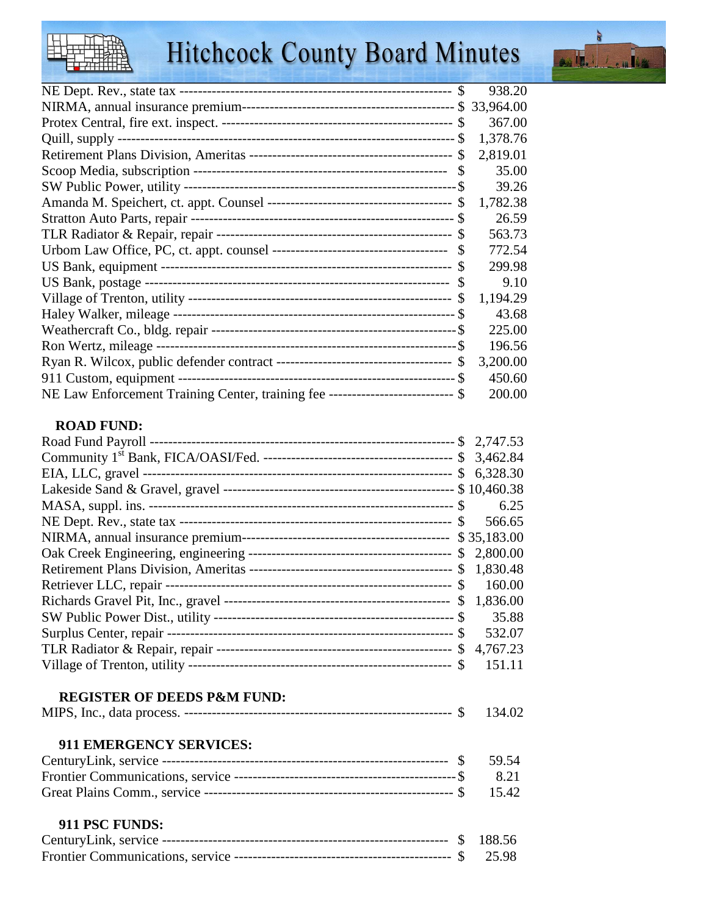## **Hitchcock County Board Minutes**



|                                                                                  | 938.20   |
|----------------------------------------------------------------------------------|----------|
|                                                                                  |          |
|                                                                                  | 367.00   |
|                                                                                  | 1,378.76 |
| <sup>\$</sup>                                                                    | 2,819.01 |
|                                                                                  | 35.00    |
|                                                                                  | 39.26    |
| -S                                                                               | 1,782.38 |
|                                                                                  | 26.59    |
|                                                                                  | 563.73   |
|                                                                                  | 772.54   |
|                                                                                  | 299.98   |
|                                                                                  | 9.10     |
| <b>S</b>                                                                         | 1,194.29 |
|                                                                                  | 43.68    |
|                                                                                  | 225.00   |
|                                                                                  | 196.56   |
|                                                                                  | 3,200.00 |
|                                                                                  | 450.60   |
| NE Law Enforcement Training Center, training fee ---------------------------- \$ | 200.00   |

## **ROAD FUND:**

|                                        | 6.25   |
|----------------------------------------|--------|
|                                        | 566.65 |
|                                        |        |
|                                        |        |
|                                        |        |
|                                        | 160.00 |
|                                        |        |
|                                        | 35.88  |
|                                        |        |
|                                        |        |
|                                        | 151.11 |
| <b>REGISTER OF DEEDS P&amp;M FUND:</b> |        |
|                                        | 134.02 |
| 911 EMERGENCY SERVICES:                |        |
|                                        | 59.54  |
|                                        | 8.21   |
|                                        | 15.42  |
| 911 PSC FUNDS:                         |        |
|                                        |        |
|                                        | 25.98  |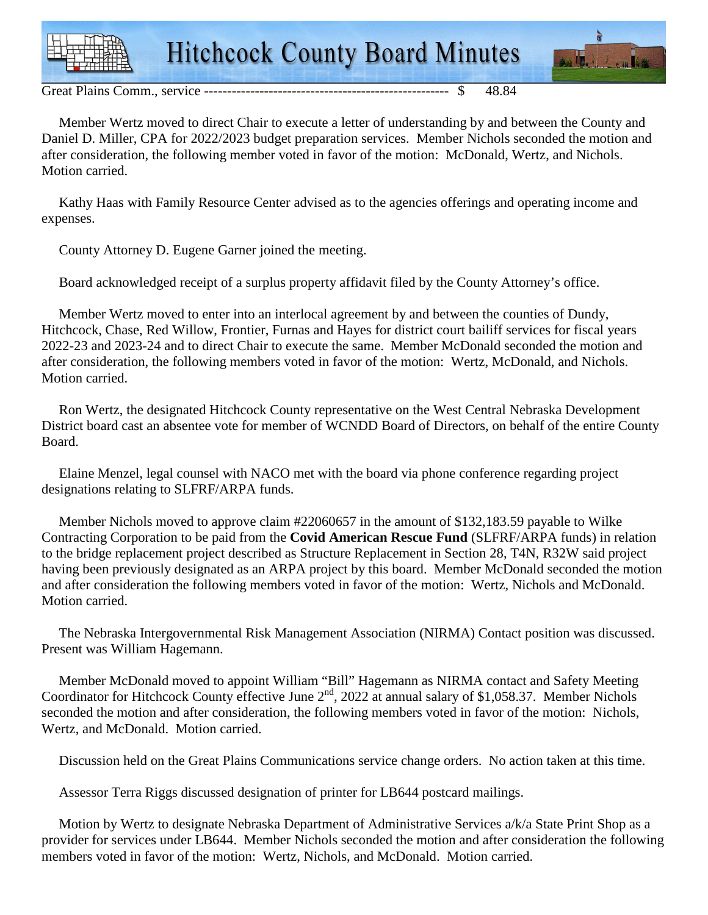

Great Plains Comm., service ----------------------------------------------------- \$ 48.84

 Member Wertz moved to direct Chair to execute a letter of understanding by and between the County and Daniel D. Miller, CPA for 2022/2023 budget preparation services. Member Nichols seconded the motion and after consideration, the following member voted in favor of the motion: McDonald, Wertz, and Nichols. Motion carried.

 Kathy Haas with Family Resource Center advised as to the agencies offerings and operating income and expenses.

County Attorney D. Eugene Garner joined the meeting.

Board acknowledged receipt of a surplus property affidavit filed by the County Attorney's office.

 Member Wertz moved to enter into an interlocal agreement by and between the counties of Dundy, Hitchcock, Chase, Red Willow, Frontier, Furnas and Hayes for district court bailiff services for fiscal years 2022-23 and 2023-24 and to direct Chair to execute the same. Member McDonald seconded the motion and after consideration, the following members voted in favor of the motion: Wertz, McDonald, and Nichols. Motion carried.

 Ron Wertz, the designated Hitchcock County representative on the West Central Nebraska Development District board cast an absentee vote for member of WCNDD Board of Directors, on behalf of the entire County Board.

 Elaine Menzel, legal counsel with NACO met with the board via phone conference regarding project designations relating to SLFRF/ARPA funds.

 Member Nichols moved to approve claim #22060657 in the amount of \$132,183.59 payable to Wilke Contracting Corporation to be paid from the **Covid American Rescue Fund** (SLFRF/ARPA funds) in relation to the bridge replacement project described as Structure Replacement in Section 28, T4N, R32W said project having been previously designated as an ARPA project by this board. Member McDonald seconded the motion and after consideration the following members voted in favor of the motion: Wertz, Nichols and McDonald. Motion carried.

 The Nebraska Intergovernmental Risk Management Association (NIRMA) Contact position was discussed. Present was William Hagemann.

 Member McDonald moved to appoint William "Bill" Hagemann as NIRMA contact and Safety Meeting Coordinator for Hitchcock County effective June  $2^{nd}$ , 2022 at annual salary of \$1,058.37. Member Nichols seconded the motion and after consideration, the following members voted in favor of the motion: Nichols, Wertz, and McDonald. Motion carried.

Discussion held on the Great Plains Communications service change orders. No action taken at this time.

Assessor Terra Riggs discussed designation of printer for LB644 postcard mailings.

 Motion by Wertz to designate Nebraska Department of Administrative Services a/k/a State Print Shop as a provider for services under LB644. Member Nichols seconded the motion and after consideration the following members voted in favor of the motion: Wertz, Nichols, and McDonald. Motion carried.